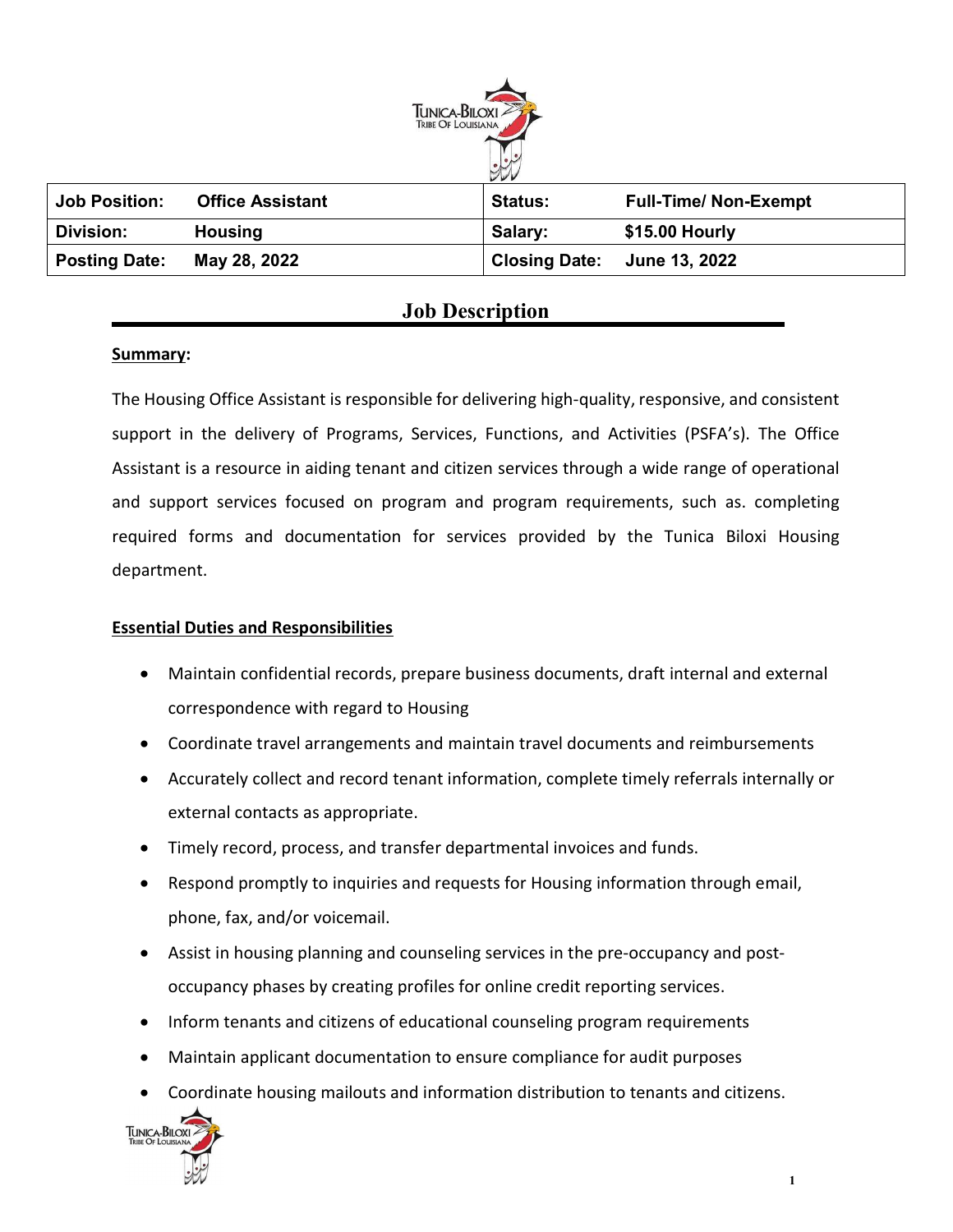

| <b>Job Position:</b> | <b>Office Assistant</b> | <b>Status:</b> | <b>Full-Time/ Non-Exempt</b> |
|----------------------|-------------------------|----------------|------------------------------|
| <b>Division:</b>     | <b>Housing</b>          | Salary:        | \$15.00 Hourly               |
| <b>Posting Date:</b> | May 28, 2022            |                | Closing Date: June 13, 2022  |

# Job Description

# Summary:

The Housing Office Assistant is responsible for delivering high-quality, responsive, and consistent support in the delivery of Programs, Services, Functions, and Activities (PSFA's). The Office Assistant is a resource in aiding tenant and citizen services through a wide range of operational and support services focused on program and program requirements, such as. completing required forms and documentation for services provided by the Tunica Biloxi Housing department.

# Essential Duties and Responsibilities

- Maintain confidential records, prepare business documents, draft internal and external correspondence with regard to Housing
- Coordinate travel arrangements and maintain travel documents and reimbursements
- Accurately collect and record tenant information, complete timely referrals internally or external contacts as appropriate.
- Timely record, process, and transfer departmental invoices and funds.
- Respond promptly to inquiries and requests for Housing information through email, phone, fax, and/or voicemail.
- Assist in housing planning and counseling services in the pre-occupancy and postoccupancy phases by creating profiles for online credit reporting services.
- Inform tenants and citizens of educational counseling program requirements
- Maintain applicant documentation to ensure compliance for audit purposes
- Coordinate housing mailouts and information distribution to tenants and citizens.

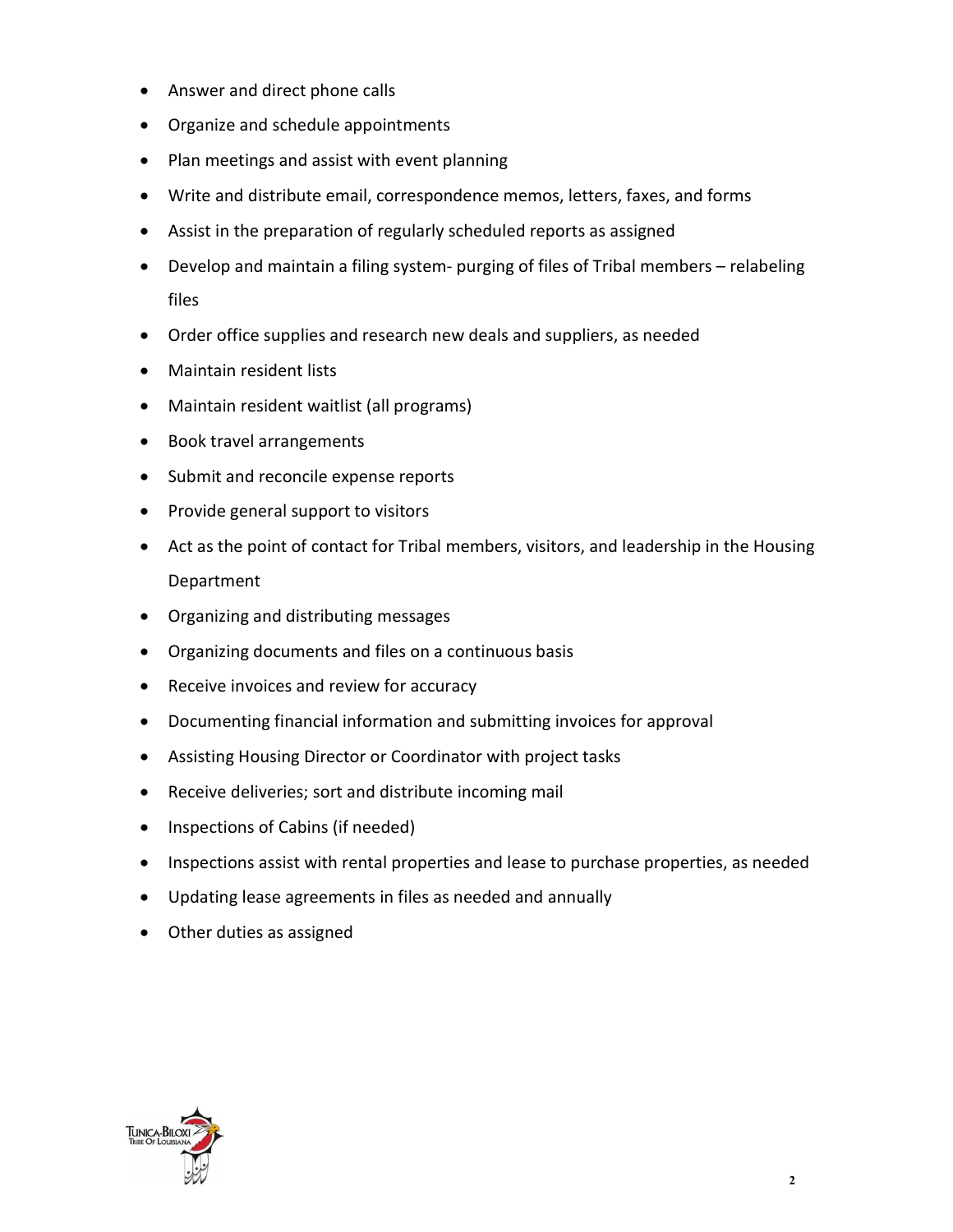- Answer and direct phone calls
- Organize and schedule appointments
- Plan meetings and assist with event planning
- Write and distribute email, correspondence memos, letters, faxes, and forms
- Assist in the preparation of regularly scheduled reports as assigned
- Develop and maintain a filing system- purging of files of Tribal members relabeling files
- Order office supplies and research new deals and suppliers, as needed
- Maintain resident lists
- Maintain resident waitlist (all programs)
- Book travel arrangements
- Submit and reconcile expense reports
- Provide general support to visitors
- Act as the point of contact for Tribal members, visitors, and leadership in the Housing Department
- Organizing and distributing messages
- Organizing documents and files on a continuous basis
- Receive invoices and review for accuracy
- Documenting financial information and submitting invoices for approval
- Assisting Housing Director or Coordinator with project tasks
- Receive deliveries; sort and distribute incoming mail
- Inspections of Cabins (if needed)
- Inspections assist with rental properties and lease to purchase properties, as needed
- Updating lease agreements in files as needed and annually
- Other duties as assigned

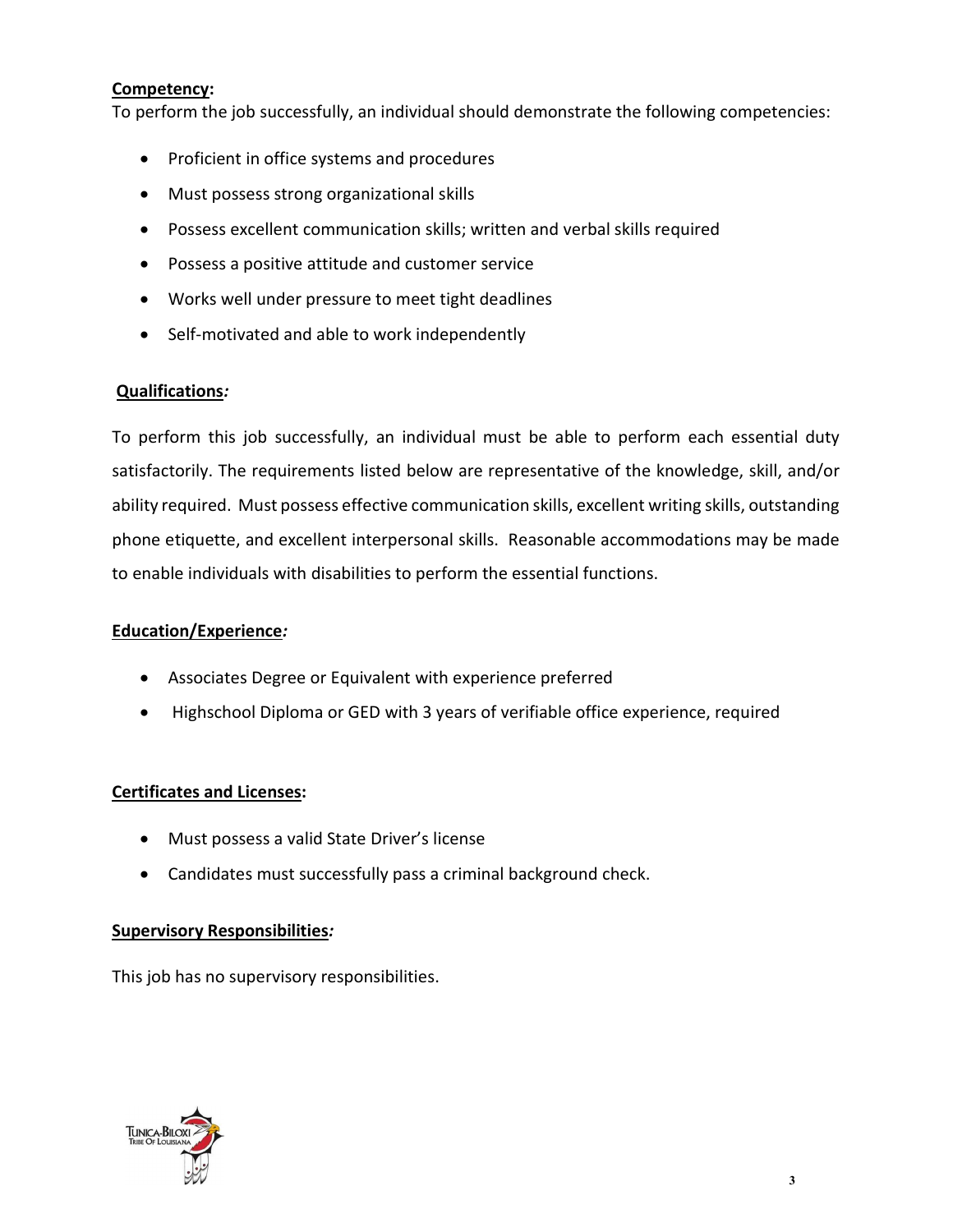## Competency:

To perform the job successfully, an individual should demonstrate the following competencies:

- Proficient in office systems and procedures
- Must possess strong organizational skills
- Possess excellent communication skills; written and verbal skills required
- Possess a positive attitude and customer service
- Works well under pressure to meet tight deadlines
- Self-motivated and able to work independently

### Qualifications:

To perform this job successfully, an individual must be able to perform each essential duty satisfactorily. The requirements listed below are representative of the knowledge, skill, and/or ability required. Must possess effective communication skills, excellent writing skills, outstanding phone etiquette, and excellent interpersonal skills. Reasonable accommodations may be made to enable individuals with disabilities to perform the essential functions.

#### Education/Experience:

- Associates Degree or Equivalent with experience preferred
- Highschool Diploma or GED with 3 years of verifiable office experience, required

# Certificates and Licenses:

- Must possess a valid State Driver's license
- Candidates must successfully pass a criminal background check.

# Supervisory Responsibilities:

This job has no supervisory responsibilities.

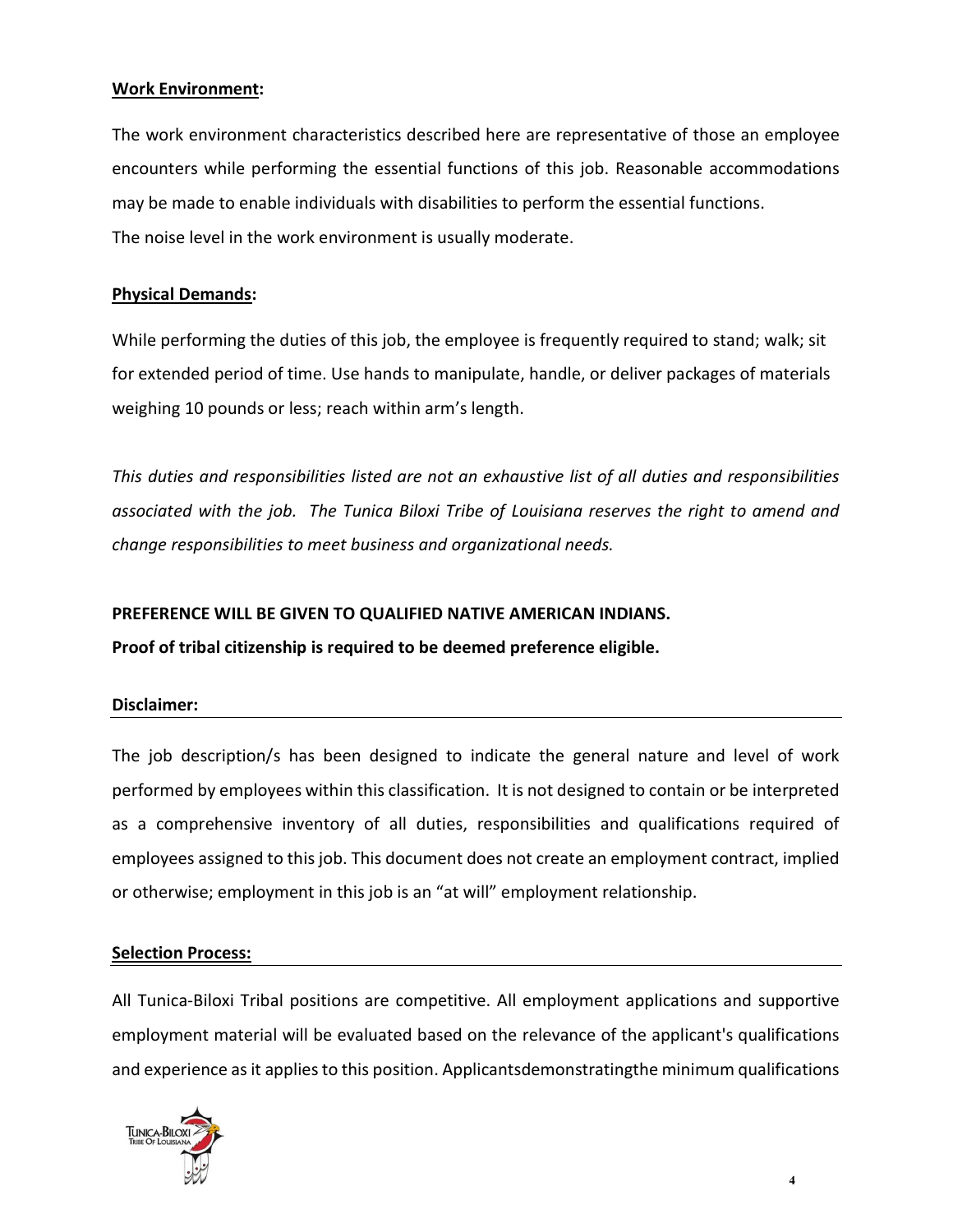### Work Environment:

The work environment characteristics described here are representative of those an employee encounters while performing the essential functions of this job. Reasonable accommodations may be made to enable individuals with disabilities to perform the essential functions. The noise level in the work environment is usually moderate.

## Physical Demands:

While performing the duties of this job, the employee is frequently required to stand; walk; sit for extended period of time. Use hands to manipulate, handle, or deliver packages of materials weighing 10 pounds or less; reach within arm's length.

This duties and responsibilities listed are not an exhaustive list of all duties and responsibilities associated with the job. The Tunica Biloxi Tribe of Louisiana reserves the right to amend and change responsibilities to meet business and organizational needs.

# PREFERENCE WILL BE GIVEN TO QUALIFIED NATIVE AMERICAN INDIANS.

Proof of tribal citizenship is required to be deemed preference eligible.

#### Disclaimer:

The job description/s has been designed to indicate the general nature and level of work performed by employees within this classification. It is not designed to contain or be interpreted as a comprehensive inventory of all duties, responsibilities and qualifications required of employees assigned to this job. This document does not create an employment contract, implied or otherwise; employment in this job is an "at will" employment relationship.

#### Selection Process:

All Tunica-Biloxi Tribal positions are competitive. All employment applications and supportive employment material will be evaluated based on the relevance of the applicant's qualifications and experience as it applies to this position. Applicantsdemonstratingthe minimum qualifications